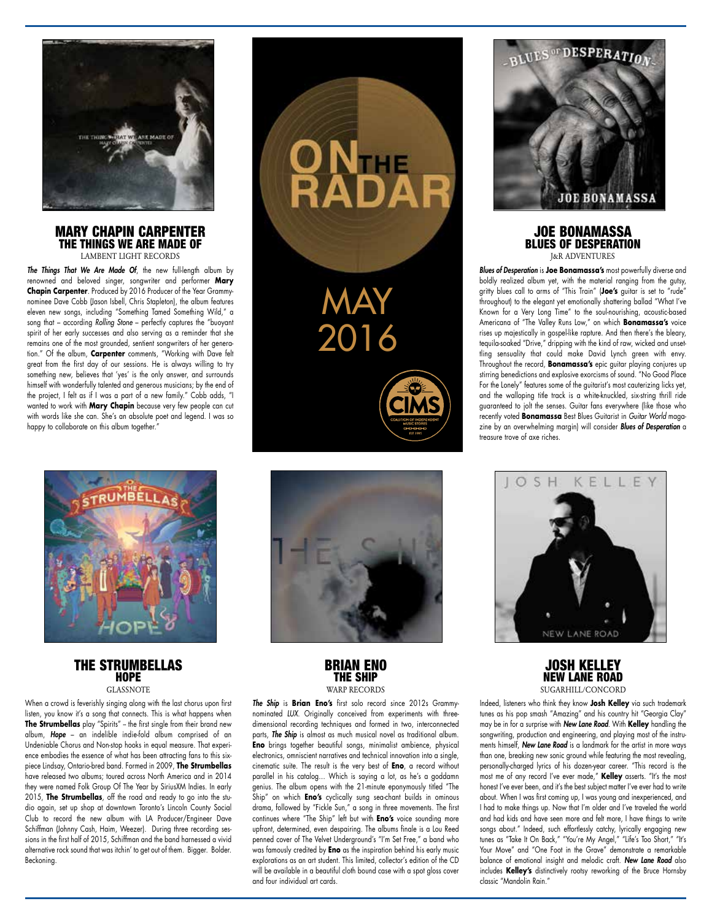

#### MARY CHAPIN CARPENTER THE THINGS WE ARE MADE OF LAMBENT LIGHT RECORDS

*The Things That We Are Made Of*, the new full-length album by renowned and beloved singer, songwriter and performer **Mary Chapin Carpenter**. Produced by 2016 Producer of the Year Grammynominee Dave Cobb (Jason Isbell, Chris Stapleton), the album features eleven new songs, including "Something Tamed Something Wild," a song that – according *Rolling Stone* – perfectly captures the "buoyant spirit of her early successes and also serving as a reminder that she remains one of the most grounded, sentient songwriters of her generation." Of the album, **Carpenter** comments, "Working with Dave felt great from the first day of our sessions. He is always willing to try something new, believes that 'yes' is the only answer, and surrounds himself with wonderfully talented and generous musicians; by the end of the project, I felt as if I was a part of a new family." Cobb adds, "I wanted to work with **Mary Chapin** because very few people can cut with words like she can. She's an absolute poet and legend. I was so happy to collaborate on this album together."



THE STRUMBELLAS **HOPE** GLASSNOTE

When a crowd is feverishly singing along with the last chorus upon first listen, you know it's a song that connects. This is what happens when **The Strumbellas** play "Spirits" - the first single from their brand new album, *Hope* – an indelible indie-fold album comprised of an Undeniable Chorus and Non-stop hooks in equal measure. That experience embodies the essence of what has been attracting fans to this sixpiece Lindsay, Ontario-bred band. Formed in 2009, **The Strumbellas** have released two albums; toured across North America and in 2014 they were named Folk Group Of The Year by SiriusXM Indies. In early 2015, **The Strumbellas**, off the road and ready to go into the studio again, set up shop at downtown Toronto's Lincoln County Social Club to record the new album with LA Producer/Engineer Dave Schiffman (Johnny Cash, Haim, Weezer). During three recording sessions in the first half of 2015, Schiffman and the band harnessed a vivid alternative rock sound that was itchin' to get out of them. Bigger. Bolder. Beckoning.



MAY

NTHE

2016

BRIAN ENO THE SHIP **WARP RECORDS** 

*The Ship* is **Brian Eno's** first solo record since 2012s Grammynominated *LUX*. Originally conceived from experiments with threedimensional recording techniques and formed in two, interconnected parts, *The Ship* is almost as much musical novel as traditional album. **Eno** brings together beautiful songs, minimalist ambience, physical electronics, omniscient narratives and technical innovation into a single, cinematic suite. The result is the very best of **Eno**, a record without parallel in his catalog… Which is saying a lot, as he's a goddamn genius. The album opens with the 21-minute eponymously titled "The Ship" on which **Eno's** cyclically sung sea-chant builds in ominous drama, followed by "Fickle Sun," a song in three movements. The first continues where "The Ship" left but with **Eno's** voice sounding more upfront, determined, even despairing. The albums finale is a Lou Reed penned cover of The Velvet Underground's "I'm Set Free," a band who was famously credited by **Eno** as the inspiration behind his early music explorations as an art student. This limited, collector's edition of the CD will be available in a beautiful cloth bound case with a spot gloss cover and four individual art cards.



## JOE BONAMASSA BLUES OF DESPERATION J&R ADVENTURES

*Blues of Desperation* is **Joe Bonamassa's** most powerfully diverse and boldly realized album yet, with the material ranging from the gutsy, gritty blues call to arms of "This Train" (**Joe's** guitar is set to "rude" throughout) to the elegant yet emotionally shattering ballad "What I've Known for a Very Long Time" to the soul-nourishing, acoustic-based Americana of "The Valley Runs Low," on which **Bonamassa's** voice rises up majestically in gospel-like rapture. And then there's the bleary, tequila-soaked "Drive," dripping with the kind of raw, wicked and unsettling sensuality that could make David Lynch green with envy. Throughout the record, **Bonamassa's** epic guitar playing conjures up stirring benedictions and explosive exorcisms of sound. "No Good Place For the Lonely" features some of the guitarist's most cauterizing licks yet, and the walloping title track is a white-knuckled, six-string thrill ride guaranteed to jolt the senses. Guitar fans everywhere (like those who recently voted **Bonamassa** Best Blues Guitarist in *Guitar World* magazine by an overwhelming margin) will consider *Blues of Desperation* a treasure trove of axe riches.



JOSH KELLEY NEW LANE ROAD SUGARHILL/CONCORD

Indeed, listeners who think they know **Josh Kelley** via such trademark tunes as his pop smash "Amazing" and his country hit "Georgia Clay" may be in for a surprise with *New Lane Road*. With **Kelley** handling the songwriting, production and engineering, and playing most of the instruments himself, *New Lane Road* is a landmark for the artist in more ways than one, breaking new sonic ground while featuring the most revealing, personally-charged lyrics of his dozen-year career. "This record is the most me of any record I've ever made," **Kelley** asserts. "It's the most honest I've ever been, and it's the best subject matter I've ever had to write about. When I was first coming up, I was young and inexperienced, and I had to make things up. Now that I'm older and I've traveled the world and had kids and have seen more and felt more, I have things to write songs about." Indeed, such effortlessly catchy, lyrically engaging new tunes as "Take It On Back," "You're My Angel," "Life's Too Short," "It's Your Move" and "One Foot in the Grave" demonstrate a remarkable balance of emotional insight and melodic craft. *New Lane Road* also includes **Kelley's** distinctively rootsy reworking of the Bruce Hornsby classic "Mandolin Rain."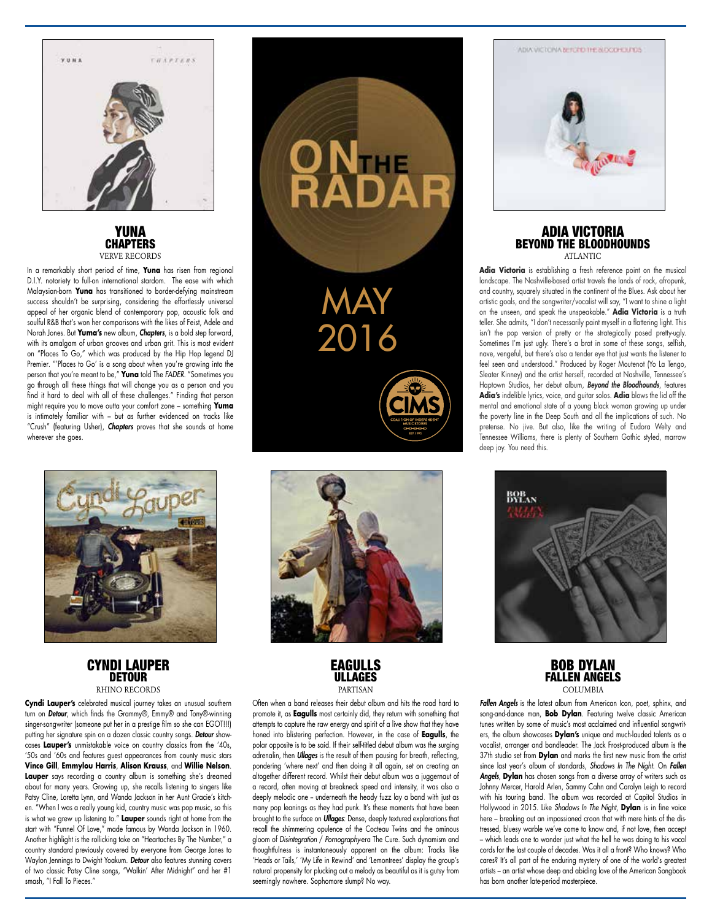

## YUNA **CHAPTERS** VERVE RECORDS

In a remarkably short period of time, **Yuna** has risen from regional D.I.Y. notoriety to full-on international stardom. The ease with which Malaysian-born **Yuna** has transitioned to border-defying mainstream success shouldn't be surprising, considering the effortlessly universal appeal of her organic blend of contemporary pop, acoustic folk and soulful R&B that's won her comparisons with the likes of Feist, Adele and Norah Jones. But **Yuma's** new album, *Chapters*, is a bold step forward, with its amalgam of urban grooves and urban grit. This is most evident on "Places To Go," which was produced by the Hip Hop legend DJ Premier. "'Places to Go' is a song about when you're growing into the person that you're meant to be," **Yuna** told The *FADER*. "Sometimes you go through all these things that will change you as a person and you find it hard to deal with all of these challenges." Finding that person might require you to move outta your comfort zone – something **Yuma**  is intimately familiar with – but as further evidenced on tracks like "Crush" (featuring Usher), *Chapters* proves that she sounds at home wherever she goes.



### CYNDI LAUPER **DETOUR** RHINO RECORDS

**Cyndi Lauper's** celebrated musical journey takes an unusual southern turn on *Detour*, which finds the Grammy®, Emmy® and Tony®-winning singer-songwriter (someone put her in a prestige film so she can EGOT!!!) putting her signature spin on a dozen classic country songs. *Detour* showcases **Lauper's** unmistakable voice on country classics from the '40s, '50s and '60s and features guest appearances from county music stars **Vince Gill**, **Emmylou Harris**, **Alison Krauss**, and **Willie Nelson**. **Lauper** says recording a country album is something she's dreamed about for many years. Growing up, she recalls listening to singers like Patsy Cline, Loretta Lynn, and Wanda Jackson in her Aunt Gracie's kitchen. "When I was a really young kid, country music was pop music, so this is what we grew up listening to." **Lauper** sounds right at home from the start with "Funnel Of Love," made famous by Wanda Jackson in 1960. Another highlight is the rollicking take on "Heartaches By The Number," a country standard previously covered by everyone from George Jones to Waylon Jennings to Dwight Yoakum. *Detour* also features stunning covers of two classic Patsy Cline songs, "Walkin' After Midnight" and her #1 smash, "I Fall To Pieces."



MAY

N<br>ADAR

2016

# EAGULLS ULLAGES DA DTIC AN

Often when a band releases their debut album and hits the road hard to promote it, as **Eagulls** most certainly did, they return with something that attempts to capture the raw energy and spirit of a live show that they have honed into blistering perfection. However, in the case of **Eagulls**, the polar opposite is to be said. If their self-titled debut album was the surging adrenalin, then *Ullages* is the result of them pausing for breath, reflecting, pondering 'where next' and then doing it all again, set on creating an altogether different record. Whilst their debut album was a juggernaut of a record, often moving at breakneck speed and intensity, it was also a deeply melodic one -- underneath the heady fuzz lay a band with just as many pop leanings as they had punk. It's these moments that have been brought to the surface on *Ullages*: Dense, deeply textured explorations that recall the shimmering opulence of the Cocteau Twins and the ominous gloom of *Disintegration* / *Pornography*-era The Cure. Such dynamism and thoughtfulness is instantaneously apparent on the album: Tracks like 'Heads or Tails,' 'My Life in Rewind' and 'Lemontrees' display the group's natural propensity for plucking out a melody as beautiful as it is gutsy from seemingly nowhere. Sophomore slump? No way.



## ADIA VICTORIA BEYOND THE BLOODHOUNDS ATI ANTIC

**Adia Victoria** is establishing a fresh reference point on the musical landscape. The Nashville-based artist travels the lands of rock, afropunk, and country, squarely situated in the continent of the Blues. Ask about her artistic goals, and the songwriter/vocalist will say, "I want to shine a light on the unseen, and speak the unspeakable." **Adia Victoria** is a truth teller. She admits, "I don't necessarily paint myself in a flattering light. This isn't the pop version of pretty or the strategically posed pretty-ugly. Sometimes I'm just ugly. There's a brat in some of these songs, selfish, nave, vengeful, but there's also a tender eye that just wants the listener to feel seen and understood." Produced by Roger Moutenot (Yo La Tengo, Sleater Kinney) and the artist herself, recorded at Nashville, Tennessee's Haptown Studios, her debut album, *Beyond the Bloodhounds*, features **Adia's** indelible lyrics, voice, and guitar solos. **Adia** blows the lid off the mental and emotional state of a young black woman growing up under the poverty line in the Deep South and all the implications of such. No pretense. No jive. But also, like the writing of Eudora Welty and Tennessee Williams, there is plenty of Southern Gothic styled, marrow deep joy. You need this.



## BOB DYLAN FALLEN ANGELS **COLUMBIA**

*Fallen Angels* is the latest album from American Icon, poet, sphinx, and song-and-dance man, **Bob Dylan**. Featuring twelve classic American tunes written by some of music's most acclaimed and influential songwriters, the album showcases **Dylan's** unique and much-lauded talents as a vocalist, arranger and bandleader. The Jack Frost-produced album is the 37th studio set from **Dylan** and marks the first new music from the artist since last year's album of standards, *Shadows In The Night*. On *Fallen Angels*, **Dylan** has chosen songs from a diverse array of writers such as Johnny Mercer, Harold Arlen, Sammy Cahn and Carolyn Leigh to record with his touring band. The album was recorded at Capitol Studios in Hollywood in 2015. Like *Shadows In The Night*, **Dylan** is in fine voice here – breaking out an impassioned croon that with mere hints of the distressed, bluesy warble we've come to know and, if not love, then accept – which leads one to wonder just what the hell he was doing to his vocal cords for the last couple of decades. Was it all a front? Who knows? Who cares? It's all part of the enduring mystery of one of the world's greatest artists – an artist whose deep and abiding love of the American Songbook has born another late-period masterpiece.